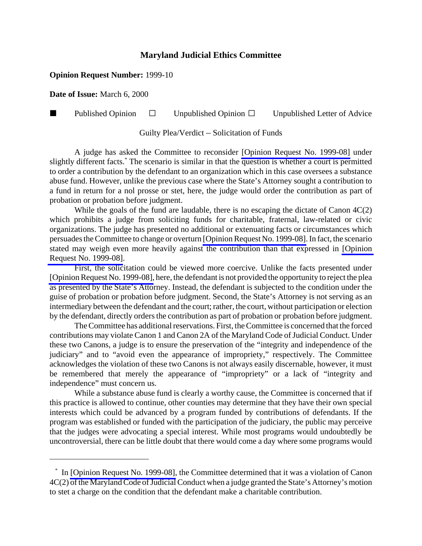## **Maryland Judicial Ethics Committee**

## **Opinion Request Number:** 1999-10

**Date of Issue:** March 6, 2000

**Published Opinion**  $\Box$  Unpublished Opinion  $\Box$  Unpublished Letter of Advice

Guilty Plea/Verdict – Solicitation of Funds

A judge has asked the Committee to reconsider [\[Opinion Request No. 1999-08\]](http://www.mdcourts.gov/ethics/pdfs/1999-08.pdf) under slightly different facts.\* The scenario is similar in that the question is whether a court is permitted to order a contribution by the defendant to an organization which in this case oversees a substance abuse fund. However, unlike the previous case where the State's Attorney sought a contribution to a fund in return for a nol prosse or stet, here, the judge would order the contribution as part of probation or probation before judgment.

While the goals of the fund are laudable, there is no escaping the dictate of Canon  $4C(2)$ which prohibits a judge from soliciting funds for charitable, fraternal, law-related or civic organizations. The judge has presented no additional or extenuating facts or circumstances which persuades the Committee to change or overturn [\[Opinion Request No. 1999-08\].](http://www.mdcourts.gov/ethics/pdfs/1999-08.pdf) In fact, the scenario stated may weigh even more heavily against the contribution than that expressed in [\[Opinion](http://www.mdcourts.gov/ethics/pdfs/1999-08.pdf) [Request No. 1999-08\].](http://www.mdcourts.gov/ethics/pdfs/1999-08.pdf)

First, the solicitation could be viewed more coercive. Unlike the facts presented under [\[Opinion Request No. 1999-08\],](http://www.mdcourts.gov/ethics/pdfs/1999-08.pdf) here, the defendant is not provided the opportunity to reject the plea as presented by the State's Attorney. Instead, the defendant is subjected to the condition under the guise of probation or probation before judgment. Second, the State's Attorney is not serving as an intermediary between the defendant and the court; rather, the court, without participation or election by the defendant, directly orders the contribution as part of probation or probation before judgment.

The Committee has additional reservations. First, the Committee is concerned that the forced contributions may violate Canon 1 and Canon 2A of the Maryland Code of Judicial Conduct. Under these two Canons, a judge is to ensure the preservation of the "integrity and independence of the judiciary" and to "avoid even the appearance of impropriety," respectively. The Committee acknowledges the violation of these two Canons is not always easily discernable, however, it must be remembered that merely the appearance of "impropriety" or a lack of "integrity and independence" must concern us.

While a substance abuse fund is clearly a worthy cause, the Committee is concerned that if this practice is allowed to continue, other counties may determine that they have their own special interests which could be advanced by a program funded by contributions of defendants. If the program was established or funded with the participation of the judiciary, the public may perceive that the judges were advocating a special interest. While most programs would undoubtedly be uncontroversial, there can be little doubt that there would come a day where some programs would

 <sup>\*</sup> In [\[Opinion Request No. 1999-08\],](http://www.mdcourts.gov/ethics/pdfs/1999-08.pdf) the Committee determined that it was a violation of Canon 4C(2) of the Maryland Code of Judicial Conduct when a judge granted the State's Attorney's motion to stet a charge on the condition that the defendant make a charitable contribution.